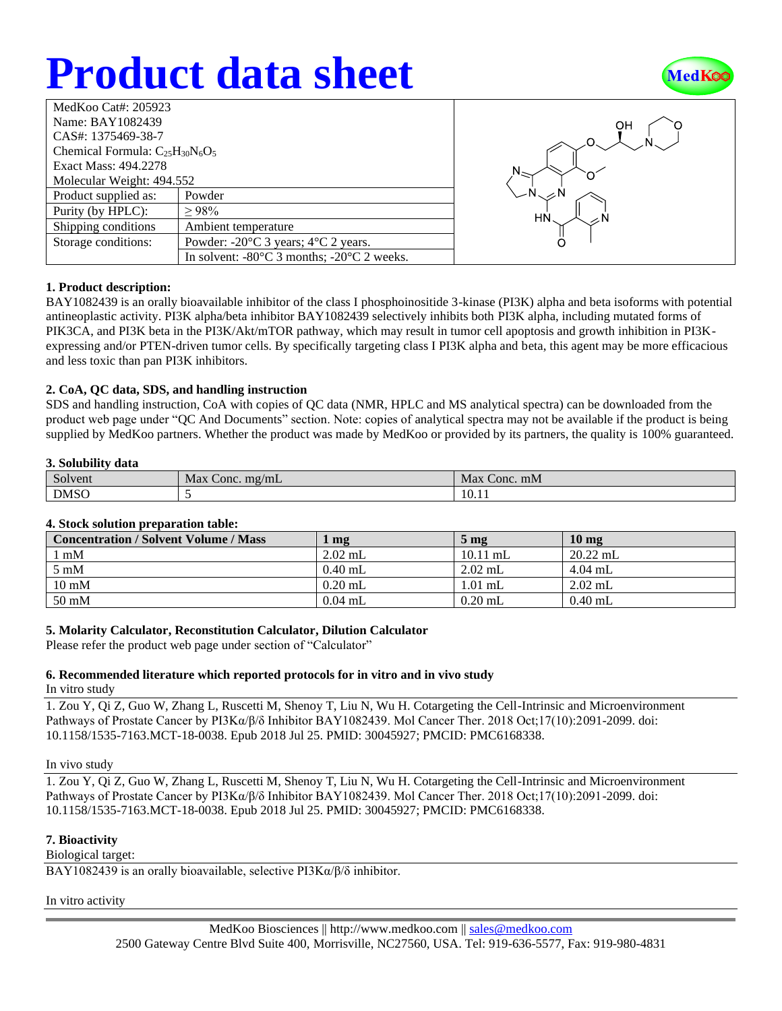# **Product data sheet**



| Name: BAY1082439                                               |  |  |  |  |  |
|----------------------------------------------------------------|--|--|--|--|--|
| CAS#: 1375469-38-7                                             |  |  |  |  |  |
| Chemical Formula: $C_{25}H_{30}N_6O_5$                         |  |  |  |  |  |
| Exact Mass: 494.2278                                           |  |  |  |  |  |
| Molecular Weight: 494.552                                      |  |  |  |  |  |
| Powder                                                         |  |  |  |  |  |
| >98%                                                           |  |  |  |  |  |
| Ambient temperature                                            |  |  |  |  |  |
| Powder: $-20^{\circ}$ C 3 years; $4^{\circ}$ C 2 years.        |  |  |  |  |  |
| In solvent: $-80^{\circ}$ C 3 months; $-20^{\circ}$ C 2 weeks. |  |  |  |  |  |
|                                                                |  |  |  |  |  |



## **1. Product description:**

BAY1082439 is an orally bioavailable inhibitor of the class I phosphoinositide 3-kinase (PI3K) alpha and beta isoforms with potential antineoplastic activity. PI3K alpha/beta inhibitor BAY1082439 selectively inhibits both PI3K alpha, including mutated forms of PIK3CA, and PI3K beta in the PI3K/Akt/mTOR pathway, which may result in tumor cell apoptosis and growth inhibition in PI3Kexpressing and/or PTEN-driven tumor cells. By specifically targeting class I PI3K alpha and beta, this agent may be more efficacious and less toxic than pan PI3K inhibitors.

## **2. CoA, QC data, SDS, and handling instruction**

SDS and handling instruction, CoA with copies of QC data (NMR, HPLC and MS analytical spectra) can be downloaded from the product web page under "QC And Documents" section. Note: copies of analytical spectra may not be available if the product is being supplied by MedKoo partners. Whether the product was made by MedKoo or provided by its partners, the quality is 100% guaranteed.

### **3. Solubility data**

| $\sim$      | Max           | Max             |
|-------------|---------------|-----------------|
| Solvent     | Conc. $mg/mL$ | Conc. mM        |
| <b>DMSO</b> |               | $\sim$<br>10.11 |

## **4. Stock solution preparation table:**

| <b>Concentration / Solvent Volume / Mass</b> | $\mathbf{mg}$ | $5 \,\mathrm{mg}$ | 10 <sub>mg</sub> |
|----------------------------------------------|---------------|-------------------|------------------|
| l mM                                         | $2.02$ mL     | $10.11$ mL        | $20.22$ mL       |
| $5 \text{ mM}$                               | $0.40$ mL     | $2.02$ mL         | $4.04$ mL        |
| $10 \text{ mM}$                              | $0.20$ mL     | $1.01$ mL         | $2.02$ mL        |
| $50 \text{ mM}$                              | $0.04$ mL     | $0.20$ mL         | $0.40$ mL        |

## **5. Molarity Calculator, Reconstitution Calculator, Dilution Calculator**

Please refer the product web page under section of "Calculator"

## **6. Recommended literature which reported protocols for in vitro and in vivo study**

## In vitro study

1. Zou Y, Qi Z, Guo W, Zhang L, Ruscetti M, Shenoy T, Liu N, Wu H. Cotargeting the Cell-Intrinsic and Microenvironment Pathways of Prostate Cancer by PI3Kα/β/δ Inhibitor BAY1082439. Mol Cancer Ther. 2018 Oct;17(10):2091-2099. doi: 10.1158/1535-7163.MCT-18-0038. Epub 2018 Jul 25. PMID: 30045927; PMCID: PMC6168338.

#### In vivo study

1. Zou Y, Qi Z, Guo W, Zhang L, Ruscetti M, Shenoy T, Liu N, Wu H. Cotargeting the Cell-Intrinsic and Microenvironment Pathways of Prostate Cancer by PI3Kα/β/δ Inhibitor BAY1082439. Mol Cancer Ther. 2018 Oct;17(10):2091-2099. doi: 10.1158/1535-7163.MCT-18-0038. Epub 2018 Jul 25. PMID: 30045927; PMCID: PMC6168338.

## **7. Bioactivity**

Biological target:

BAY1082439 is an orally bioavailable, selective PI3Kα/β/δ inhibitor.

In vitro activity